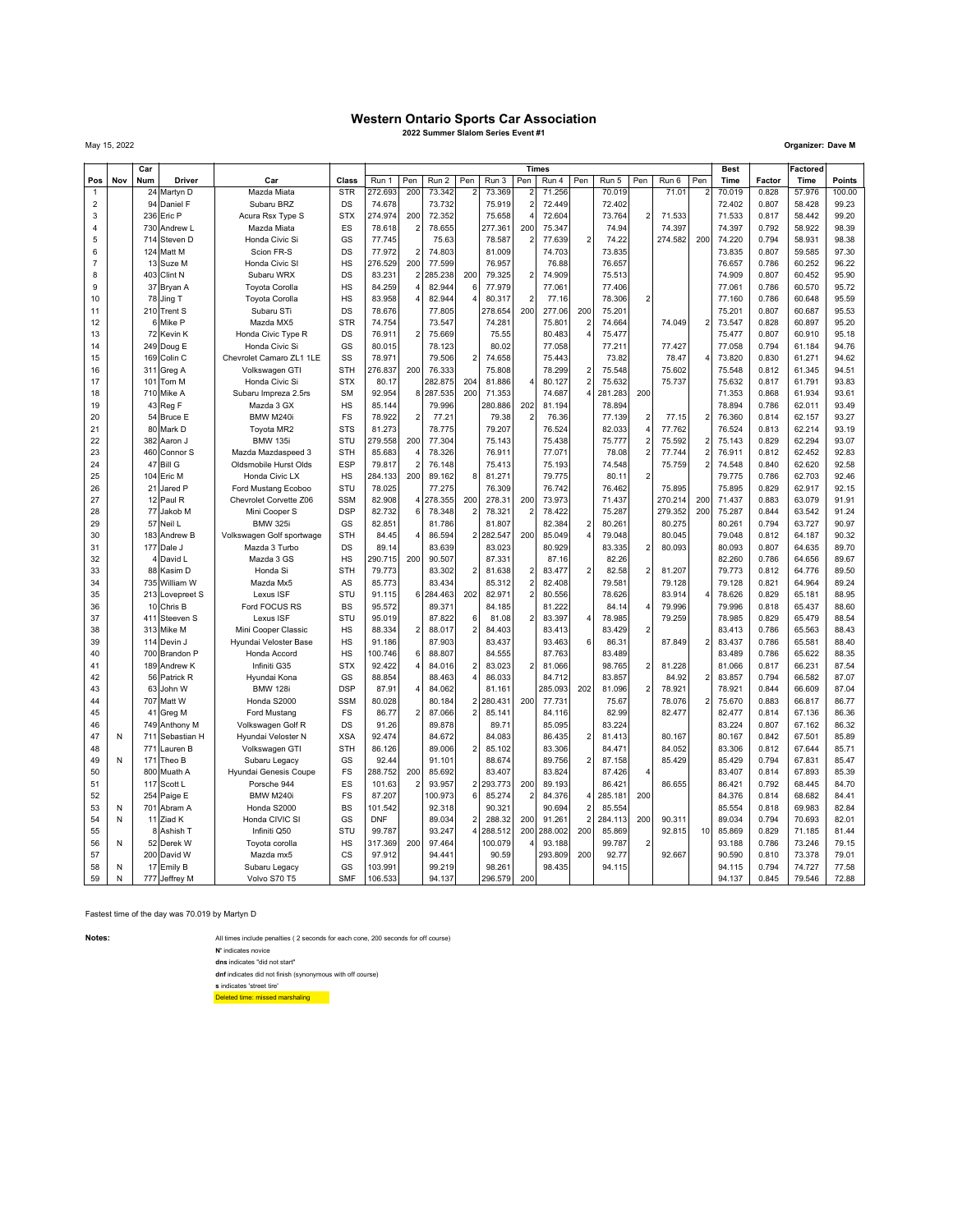## **Western Ontario Sports Car Association**

**2022 Summer Slalom Series Event #1**

May 15, 2022 **Organizer: Dave M**

|                     |     | $\overline{c}$ ar |                              |                                               |                  |                   |                       |                   |                         |                  |                | <b>Times</b>     |                         |                  |                  |                   |                         | <b>Best</b>      |                | Factored         |                |
|---------------------|-----|-------------------|------------------------------|-----------------------------------------------|------------------|-------------------|-----------------------|-------------------|-------------------------|------------------|----------------|------------------|-------------------------|------------------|------------------|-------------------|-------------------------|------------------|----------------|------------------|----------------|
| Pos                 | Nov | Num               | Driver                       | Car                                           | Class            | Run 1             | Pen                   | Run 2             | Pen                     | Run 3            | Pen            | Run 4            | Pen                     | Run 5            | Pen              | Run 6             | Pen                     | Time             | Factor         | Time             | Points         |
| $\mathbf{1}$        |     | 24                | Martyn D                     | Mazda Miata                                   | <b>STR</b>       | 272.693           | 200                   | 73.342            |                         | 73.369           | $\overline{2}$ | 71.256           |                         | 70.019           |                  | 71.01             | 2                       | 70.019           | 0.828          | 57.976           | 100.00         |
| $\overline{2}$      |     | 94                | Daniel F                     | Subaru BRZ                                    | DS               | 74.678            |                       | 73.732            |                         | 75.919           | $\overline{a}$ | 72.449           |                         | 72.402           |                  |                   |                         | 72.402           | 0.807          | 58.428           | 99.23          |
| 3                   |     |                   | 236 Eric P                   | Acura Rsx Type S                              | <b>STX</b>       | 274.974           | 200                   | 72.352            |                         | 75.658           |                | 72.604           |                         | 73.764           | $\overline{2}$   | 71.533            |                         | 71.533           | 0.817          | 58.442           | 99.20          |
| $\overline{4}$      |     | 730               | Andrew L                     | Mazda Miata                                   | ES               | 78.618            | $\overline{2}$        | 78.655            |                         | 277.361          | 200            | 75.347           |                         | 74.94            |                  | 74.397            |                         | 74.397           | 0.792          | 58.922           | 98.39          |
| 5                   |     | 714               | Steven D                     | Honda Civic Si                                | GS               | 77.745            |                       | 75.63             |                         | 78.587           | $\overline{2}$ | 77.639           | $\overline{2}$          | 74.22            |                  | 274.582           | 200                     | 74.220           | 0.794          | 58.931           | 98.38          |
| 6<br>$\overline{7}$ |     |                   | 124 Matt M                   | Scion FR-S                                    | DS<br>HS         | 77.972            | $\overline{2}$<br>200 | 74.803            |                         | 81.009           |                | 74.703           |                         | 73.835           |                  |                   |                         | 73.835           | 0.807          | 59.585           | 97.30          |
| 8                   |     |                   | 13 Suze M<br>403 Clint N     | Honda Civic SI<br>Subaru WRX                  | DS               | 276.529<br>83.231 | $\overline{2}$        | 77.599<br>285.238 | 200                     | 76.957<br>79.325 | $\overline{2}$ | 76.88<br>74.909  |                         | 76.657<br>75.513 |                  |                   |                         | 76.657<br>74.909 | 0.786<br>0.807 | 60.252<br>60.452 | 96.22<br>95.90 |
| 9                   |     |                   | 37 Bryan A                   | <b>Toyota Corolla</b>                         | HS               | 84.259            | $\overline{4}$        | 82.944            | 6                       | 77.979           |                | 77.061           |                         | 77.406           |                  |                   |                         | 77.061           | 0.786          | 60.570           | 95.72          |
| 10                  |     | 78                | Jing T                       | <b>Toyota Corolla</b>                         | HS               | 83.958            | $\overline{a}$        | 82.944            | $\overline{a}$          | 80.317           | $\overline{2}$ | 77.16            |                         | 78.306           | $\overline{2}$   |                   |                         | 77.160           | 0.786          | 60.648           | 95.59          |
| 11                  |     |                   | 210 Trent S                  | Subaru STi                                    | DS               | 78.676            |                       | 77.805            |                         | 278.654          | 200            | 277.06           | 200                     | 75.201           |                  |                   |                         | 75.201           | 0.807          | 60.687           | 95.53          |
| 12                  |     |                   | 6 Mike P                     | Mazda MX5                                     | <b>STR</b>       | 74.754            |                       | 73.547            |                         | 74.281           |                | 75.801           | $\overline{2}$          | 74.664           |                  | 74.049            | $\overline{2}$          | 73.547           | 0.828          | 60.897           | 95.20          |
| 13                  |     |                   | 72 Kevin K                   | Honda Civic Type R                            | DS               | 76.911            | $\overline{2}$        | 75.669            |                         | 75.55            |                | 80.483           | 4                       | 75.477           |                  |                   |                         | 75.477           | 0.807          | 60.910           | 95.18          |
| 14                  |     | 249               | Doug E                       | Honda Civic Si                                | GS               | 80.015            |                       | 78.123            |                         | 80.02            |                | 77.058           |                         | 77.211           |                  | 77.427            |                         | 77.058           | 0.794          | 61.184           | 94.76          |
| 15                  |     | 169               | Colin C                      | Chevrolet Camaro ZL1 1LE                      | SS               | 78.971            |                       | 79.506            | $\overline{\mathbf{c}}$ | 74.658           |                | 75.443           |                         | 73.82            |                  | 78.47             |                         | 73.820           | 0.830          | 61.271           | 94.62          |
| 16                  |     | 311               | Greg A                       | Volkswagen GTI                                | <b>STH</b>       | 276.837           | 200                   | 76.333            |                         | 75.808           |                | 78.299           | $\overline{\mathbf{c}}$ | 75.548           |                  | 75.602            |                         | 75.548           | 0.812          | 61.345           | 94.51          |
| 17                  |     | 101               | Tom M                        | Honda Civic Si                                | <b>STX</b>       | 80.17             |                       | 282.875           | 204                     | 81.886           | $\overline{4}$ | 80.127           | $\overline{2}$          | 75.632           |                  | 75.737            |                         | 75.632           | 0.817          | 61.791           | 93.83          |
| 18                  |     |                   | 710 Mike A                   | Subaru Impreza 2.5rs                          | <b>SM</b>        | 92.954            | 8                     | 287.535           | 200                     | 71.353           |                | 74.687           | 4                       | 281.283          | 200              |                   |                         | 71.353           | 0.868          | 61.934           | 93.61          |
| 19                  |     |                   | 43 Reg F                     | Mazda 3 GX                                    | HS               | 85.144            |                       | 79.996            |                         | 280.886          | 202            | 81.194           |                         | 78.894           |                  |                   |                         | 78.894           | 0.786          | 62.011           | 93.49          |
| 20                  |     |                   | 54 Bruce E                   | BMW M240i                                     | FS               | 78.922            | $\overline{2}$        | 77.21             |                         | 79.38            | $\overline{2}$ | 76.36            |                         | 77.139           | $\boldsymbol{2}$ | 77.15             | $\mathcal{P}$           | 76.360           | 0.814          | 62.157           | 93.27          |
| 21                  |     | 80                | Mark D                       | Toyota MR2                                    | <b>STS</b>       | 81.273            |                       | 78.775            |                         | 79.207           |                | 76.524           |                         | 82.033           | $\overline{4}$   | 77.762            |                         | 76.524           | 0.813          | 62.214           | 93.19          |
| 22                  |     | 382               | Aaron J                      | <b>BMW 135i</b>                               | STU              | 279.558           | 200                   | 77.304            |                         | 75.143           |                | 75.438           |                         | 75.777           | $\overline{2}$   | 75.592            | $\overline{2}$          | 75.143           | 0.829          | 62.294           | 93.07          |
| 23                  |     |                   | 460 Connor S                 | Mazda Mazdaspeed 3                            | <b>STH</b>       | 85.683            | $\overline{4}$        | 78.326            |                         | 76.911           |                | 77.071           |                         | 78.08            | $\overline{2}$   | 77.744            | $\overline{\mathbf{c}}$ | 76.911           | 0.812          | 62.452           | 92.83          |
| 24                  |     | 47                | <b>Bill G</b>                | Oldsmobile Hurst Olds                         | ESP              | 79.817            | $\overline{2}$        | 76.148            |                         | 75.413           |                | 75.193           |                         | 74.548           |                  | 75.759            | $\overline{2}$          | 74.548           | 0.840          | 62.620           | 92.58          |
| 25<br>26            |     | 21                | 104 Eric M                   | Honda Civic LX                                | HS<br>STU        | 284.133<br>78.025 | 200                   | 89.162            | 8                       | 81.271           |                | 79.775<br>76.742 |                         | 80.11            | $\overline{2}$   |                   |                         | 79.775<br>75.895 | 0.786<br>0.829 | 62.703<br>62.917 | 92.46<br>92.15 |
| 27                  |     |                   | Jared P<br>12 Paul R         | Ford Mustang Ecoboo<br>Chevrolet Corvette Z06 | <b>SSM</b>       | 82.908            | $\overline{4}$        | 77.275<br>278.355 | 200                     | 76.309<br>278.31 | 200            | 73.973           |                         | 76.462<br>71.437 |                  | 75.895<br>270.214 | 200                     | 71.437           | 0.883          | 63.079           | 91.91          |
| 28                  |     | 77                | Jakob M                      | Mini Cooper S                                 | <b>DSP</b>       | 82.732            | 6                     | 78.348            | $\overline{2}$          | 78.321           | $\overline{2}$ | 78.422           |                         | 75.287           |                  | 279.352           | 200                     | 75.287           | 0.844          | 63.542           | 91.24          |
| 29                  |     | 57                | Neil L                       | <b>BMW 325i</b>                               | GS               | 82.851            |                       | 81.786            |                         | 81.807           |                | 82.384           | $\mathbf 2$             | 80.261           |                  | 80.275            |                         | 80.261           | 0.794          | 63.727           | 90.97          |
| 30                  |     | 183               | Andrew B                     | Volkswagen Golf sportwage                     | <b>STH</b>       | 84.45             | $\overline{4}$        | 86.594            | $\overline{2}$          | 282.547          | 200            | 85.049           | $\overline{4}$          | 79.048           |                  | 80.045            |                         | 79.048           | 0.812          | 64.187           | 90.32          |
| 31                  |     |                   | 177 Dale J                   | Mazda 3 Turbo                                 | DS               | 89.14             |                       | 83.639            |                         | 83.023           |                | 80.929           |                         | 83.335           | $\overline{2}$   | 80.093            |                         | 80.093           | 0.807          | 64.635           | 89.70          |
| 32                  |     |                   | David L                      | Mazda 3 GS                                    | HS               | 290.715           | 200                   | 90.507            |                         | 87.331           |                | 87.16            |                         | 82.26            |                  |                   |                         | 82.260           | 0.786          | 64.656           | 89.67          |
| 33                  |     | 88                | Kasim D                      | Honda Si                                      | <b>STH</b>       | 79.773            |                       | 83.302            | $\overline{2}$          | 81.638           | $\overline{c}$ | 83.477           | $\overline{2}$          | 82.58            | $\overline{2}$   | 81.207            |                         | 79.773           | 0.812          | 64.776           | 89.50          |
| 34                  |     |                   | 735 William W                | Mazda Mx5                                     | AS               | 85.773            |                       | 83.434            |                         | 85.312           | $\overline{2}$ | 82.408           |                         | 79.581           |                  | 79.128            |                         | 79.128           | 0.821          | 64.964           | 89.24          |
| 35                  |     | 213               | Lovepreet S                  | Lexus ISF                                     | STU              | 91.115            |                       | 6 284.463         | 202                     | 82.971           | $\overline{a}$ | 80.556           |                         | 78.626           |                  | 83.914            |                         | 78.626           | 0.829          | 65.181           | 88.95          |
| 36                  |     |                   | 10 Chris B                   | Ford FOCUS RS                                 | <b>BS</b>        | 95.572            |                       | 89.371            |                         | 84.185           |                | 81.222           |                         | 84.14            | 4                | 79.996            |                         | 79.996           | 0.818          | 65.437           | 88.60          |
| 37                  |     | 411               | Steeven S                    | Lexus ISF                                     | STU              | 95.019            |                       | 87.822            | 6                       | 81.08            | $\overline{2}$ | 83.397           | 4                       | 78.985           |                  | 79.259            |                         | 78.985           | 0.829          | 65.479           | 88.54          |
| 38                  |     | 313               | Mike M                       | Mini Cooper Classic                           | <b>HS</b>        | 88.334            | $\overline{2}$        | 88.017            | $\overline{2}$          | 84.403           |                | 83.413           |                         | 83.429           | $\overline{2}$   |                   |                         | 83.413           | 0.786          | 65.563           | 88.43          |
| 39                  |     |                   | 114 Devin J                  | Hyundai Veloster Base                         | HS               | 91.186            |                       | 87.903            |                         | 83.437           |                | 93.463           | 6                       | 86.31            |                  | 87.849            | 2                       | 83.437           | 0.786          | 65.581           | 88.40          |
| 40                  |     | 700               | Brandon P                    | Honda Accord                                  | <b>HS</b>        | 100.746           | 6                     | 88,807            |                         | 84.555           |                | 87.763           |                         | 83.489           |                  |                   |                         | 83.489           | 0.786          | 65.622           | 88.35          |
| 41                  |     | 189               | Andrew K                     | Infiniti G35                                  | <b>STX</b>       | 92.422            | $\overline{4}$        | 84.016            | $\overline{2}$          | 83.023           | $\overline{2}$ | 81.066           |                         | 98.765           | $\overline{2}$   | 81.228            |                         | 81.066           | 0.817          | 66.231           | 87.54          |
| 42                  |     |                   | 56 Patrick R                 | Hyundai Kona                                  | GS               | 88.854            |                       | 88.463            | $\overline{4}$          | 86.033           |                | 84.712           |                         | 83.857           |                  | 84.92             | $\overline{2}$          | 83.857           | 0.794          | 66.582           | 87.07          |
| 43                  |     | 63                | John W                       | <b>BMW 128i</b>                               | <b>DSP</b>       | 87.91             | $\overline{4}$        | 84.062            |                         | 81.161           |                | 285.093          | 202                     | 81.096           | $\overline{2}$   | 78.921            |                         | 78.921           | 0.844          | 66.609           | 87.04          |
| 44                  |     | 707               | Matt W                       | Honda S2000                                   | SSM              | 80.028            |                       | 80.184            | $\overline{2}$          | 280.431          | 200            | 77.731           |                         | 75.67            |                  | 78.076            | $\overline{2}$          | 75.670           | 0.883          | 66.817           | 86.77          |
| 45                  |     | 41                | Greg M                       | Ford Mustang                                  | FS               | 86.77             | $\overline{2}$        | 87.066            | $\overline{2}$          | 85.141           |                | 84.116           |                         | 82.99            |                  | 82.477            |                         | 82.477           | 0.814          | 67.136           | 86.36          |
| 46<br>47            | N   | 711               | 749 Anthony M<br>Sebastian H | Volkswagen Golf R                             | DS<br><b>XSA</b> | 91.26<br>92.474   |                       | 89.878<br>84.672  |                         | 89.71            |                | 85.095           |                         | 83.224<br>81.413 |                  | 80.167            |                         | 83.224           | 0.807<br>0.842 | 67.162<br>67.501 | 86.32<br>85.89 |
| 48                  |     | 771               | auren B                      | Hyundai Veloster N<br>Volkswagen GTI          | <b>STH</b>       | 86.126            |                       | 89,006            | $\overline{2}$          | 84.083<br>85.102 |                | 86.435<br>83.306 | $\mathbf 2$             | 84.471           |                  | 84.052            |                         | 80.167<br>83.306 | 0.812          | 67.644           | 85.71          |
| 49                  | N   | 171               | Theo B                       | Subaru Legacy                                 | GS               | 92.44             |                       | 91.101            |                         | 88.674           |                | 89.756           | $\overline{2}$          | 87.158           |                  | 85.429            |                         | 85.429           | 0.794          | 67.831           | 85.47          |
| 50                  |     | 800               | Muath A                      | Hyundai Genesis Coupe                         | FS               | 288.752           | 200                   | 85.692            |                         | 83.407           |                | 83.824           |                         | 87.426           | 4                |                   |                         | 83.407           | 0.814          | 67.893           | 85.39          |
| 51                  |     | 117               | Scott L                      | Porsche 944                                   | ES               | 101.63            | $\overline{2}$        | 93.957            | $\overline{2}$          | 293.773          | 200            | 89.193           |                         | 86.421           |                  | 86.655            |                         | 86.421           | 0.792          | 68.445           | 84.70          |
| 52                  |     | 254               | Paige E                      | BMW M240i                                     | FS               | 87.207            |                       | 100.973           | 6                       | 85.274           | $\overline{2}$ | 84.376           | $\overline{\mathbf{4}}$ | 285.181          | 200              |                   |                         | 84.376           | 0.814          | 68.682           | 84.41          |
| 53                  | N   | 701               | Abram A                      | Honda S2000                                   | <b>BS</b>        | 101.542           |                       | 92.318            |                         | 90.321           |                | 90.694           | $\overline{2}$          | 85.554           |                  |                   |                         | 85.554           | 0.818          | 69.983           | 82.84          |
| 54                  | N   | 11                | Ziad K                       | Honda CIVIC SI                                | GS               | <b>DNF</b>        |                       | 89.034            | $\overline{2}$          | 288.32           | 200            | 91.261           | $\overline{\mathbf{c}}$ | 284.113          | 200              | 90.311            |                         | 89.034           | 0.794          | 70.693           | 82.01          |
| 55                  |     |                   | 8 Ashish T                   | Infiniti Q50                                  | STU              | 99.787            |                       | 93.247            | $\overline{4}$          | 288.512          | 200            | 288.002          | 200                     | 85.869           |                  | 92.815            | 10                      | 85.869           | 0.829          | 71.185           | 81.44          |
| 56                  | N   |                   | 52 Derek W                   | Toyota corolla                                | HS               | 317.369           | 200                   | 97.464            |                         | 100.079          |                | 93.188           |                         | 99.787           | $\overline{2}$   |                   |                         | 93.188           | 0.786          | 73.246           | 79.15          |
| 57                  |     |                   | 200 David W                  | Mazda mx5                                     | CS               | 97.912            |                       | 94.441            |                         | 90.59            |                | 293.809          | 200                     | 92.77            |                  | 92.667            |                         | 90.590           | 0.810          | 73.378           | 79.01          |
| 58                  | N   |                   | 17 Emily B                   | Subaru Legacy                                 | GS               | 103.991           |                       | 99.219            |                         | 98.261           |                | 98.435           |                         | 94.115           |                  |                   |                         | 94.115           | 0.794          | 74.727           | 77.58          |
| 59                  | N   |                   | 777 Jeffrey M                | Volvo S70 T5                                  | <b>SMF</b>       | 106.533           |                       | 94.137            |                         | 296.579          | 200            |                  |                         |                  |                  |                   |                         | 94.137           | 0.845          | 79.546           | 72.88          |

Fastest time of the day was 70.019 by Martyn D

All times include penalties ( 2 seconds for each cone, 200 seconds for off course)<br> **N'** indicates novice<br> **dns** indicates "did not start"

Deleted time: missed marshaling **dnf** indicates did not finish (synonymous with off course) **s** indicates 'street tire'